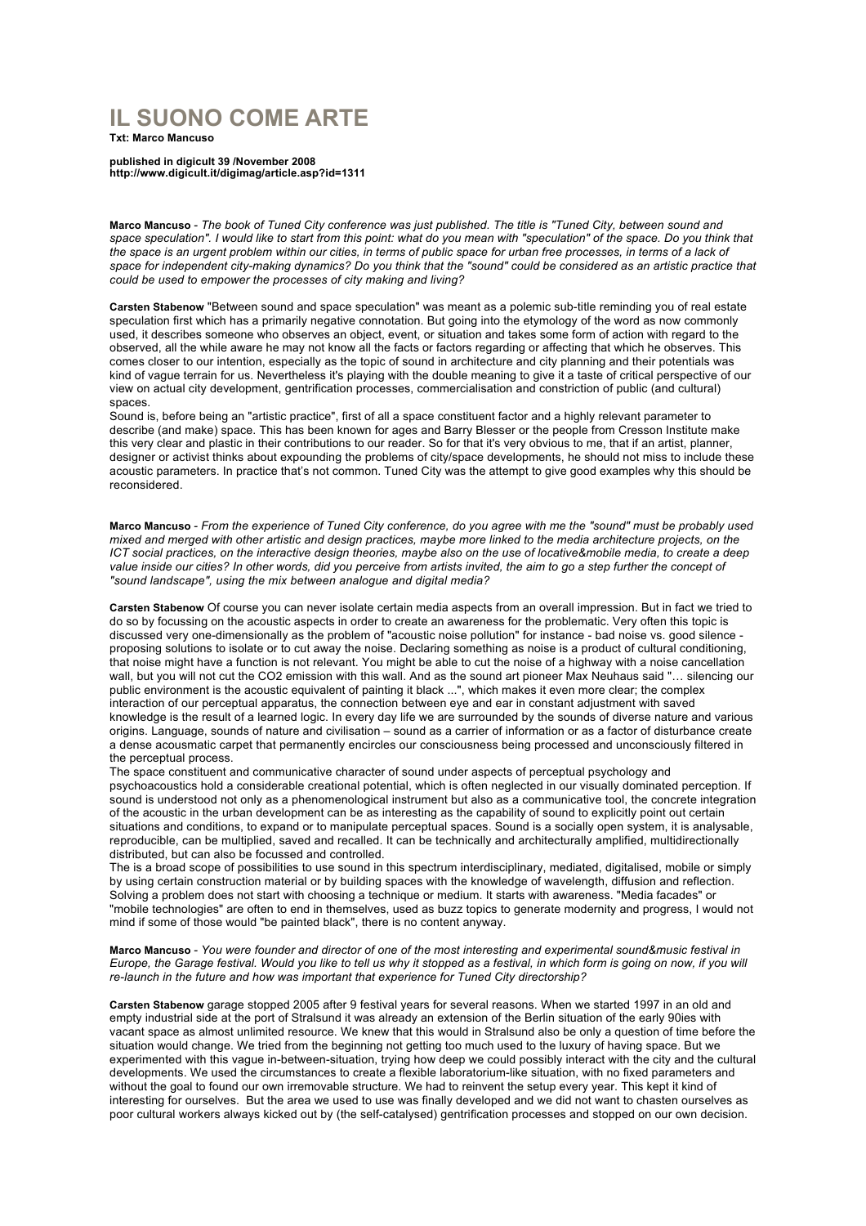## **IL SUONO COME ARTE**

**Txt: Marco Mancuso**

**published in digicult 39 /November 2008 http://www.digicult.it/digimag/article.asp?id=1311**

**Marco Mancuso** *- The book of Tuned City conference was just published. The title is "Tuned City, between sound and*  space speculation". I would like to start from this point: what do you mean with "speculation" of the space. Do you think that the space is an urgent problem within our cities, in terms of public space for urban free processes, in terms of a lack of *space for independent city-making dynamics? Do you think that the "sound" could be considered as an artistic practice that could be used to empower the processes of city making and living?*

**Carsten Stabenow** "Between sound and space speculation" was meant as a polemic sub-title reminding you of real estate speculation first which has a primarily negative connotation. But going into the etymology of the word as now commonly used, it describes someone who observes an object, event, or situation and takes some form of action with regard to the observed, all the while aware he may not know all the facts or factors regarding or affecting that which he observes. This comes closer to our intention, especially as the topic of sound in architecture and city planning and their potentials was kind of vague terrain for us. Nevertheless it's playing with the double meaning to give it a taste of critical perspective of our view on actual city development, gentrification processes, commercialisation and constriction of public (and cultural) spaces.

Sound is, before being an "artistic practice", first of all a space constituent factor and a highly relevant parameter to describe (and make) space. This has been known for ages and Barry Blesser or the people from Cresson Institute make this very clear and plastic in their contributions to our reader. So for that it's very obvious to me, that if an artist, planner, designer or activist thinks about expounding the problems of city/space developments, he should not miss to include these acoustic parameters. In practice that's not common. Tuned City was the attempt to give good examples why this should be reconsidered.

**Marco Mancuso** *- From the experience of Tuned City conference, do you agree with me the "sound" must be probably used mixed and merged with other artistic and design practices, maybe more linked to the media architecture projects, on the ICT social practices, on the interactive design theories, maybe also on the use of locative&mobile media, to create a deep value inside our cities? In other words, did you perceive from artists invited, the aim to go a step further the concept of "sound landscape", using the mix between analogue and digital media?*

**Carsten Stabenow** Of course you can never isolate certain media aspects from an overall impression. But in fact we tried to do so by focussing on the acoustic aspects in order to create an awareness for the problematic. Very often this topic is discussed very one-dimensionally as the problem of "acoustic noise pollution" for instance - bad noise vs. good silence proposing solutions to isolate or to cut away the noise. Declaring something as noise is a product of cultural conditioning, that noise might have a function is not relevant. You might be able to cut the noise of a highway with a noise cancellation wall, but you will not cut the CO2 emission with this wall. And as the sound art pioneer Max Neuhaus said "… silencing our public environment is the acoustic equivalent of painting it black ...", which makes it even more clear; the complex interaction of our perceptual apparatus, the connection between eye and ear in constant adjustment with saved knowledge is the result of a learned logic. In every day life we are surrounded by the sounds of diverse nature and various origins. Language, sounds of nature and civilisation – sound as a carrier of information or as a factor of disturbance create a dense acousmatic carpet that permanently encircles our consciousness being processed and unconsciously filtered in the perceptual process.

The space constituent and communicative character of sound under aspects of perceptual psychology and psychoacoustics hold a considerable creational potential, which is often neglected in our visually dominated perception. If sound is understood not only as a phenomenological instrument but also as a communicative tool, the concrete integration of the acoustic in the urban development can be as interesting as the capability of sound to explicitly point out certain situations and conditions, to expand or to manipulate perceptual spaces. Sound is a socially open system, it is analysable, reproducible, can be multiplied, saved and recalled. It can be technically and architecturally amplified, multidirectionally distributed, but can also be focussed and controlled.

The is a broad scope of possibilities to use sound in this spectrum interdisciplinary, mediated, digitalised, mobile or simply by using certain construction material or by building spaces with the knowledge of wavelength, diffusion and reflection. Solving a problem does not start with choosing a technique or medium. It starts with awareness. "Media facades" or "mobile technologies" are often to end in themselves, used as buzz topics to generate modernity and progress, I would not mind if some of those would "be painted black", there is no content anyway.

## **Marco Mancuso** *- You were founder and director of one of the most interesting and experimental sound&music festival in Europe, the Garage festival. Would you like to tell us why it stopped as a festival, in which form is going on now, if you will re-launch in the future and how was important that experience for Tuned City directorship?*

**Carsten Stabenow** garage stopped 2005 after 9 festival years for several reasons. When we started 1997 in an old and empty industrial side at the port of Stralsund it was already an extension of the Berlin situation of the early 90ies with vacant space as almost unlimited resource. We knew that this would in Stralsund also be only a question of time before the situation would change. We tried from the beginning not getting too much used to the luxury of having space. But we experimented with this vague in-between-situation, trying how deep we could possibly interact with the city and the cultural developments. We used the circumstances to create a flexible laboratorium-like situation, with no fixed parameters and without the goal to found our own irremovable structure. We had to reinvent the setup every year. This kept it kind of interesting for ourselves. But the area we used to use was finally developed and we did not want to chasten ourselves as poor cultural workers always kicked out by (the self-catalysed) gentrification processes and stopped on our own decision.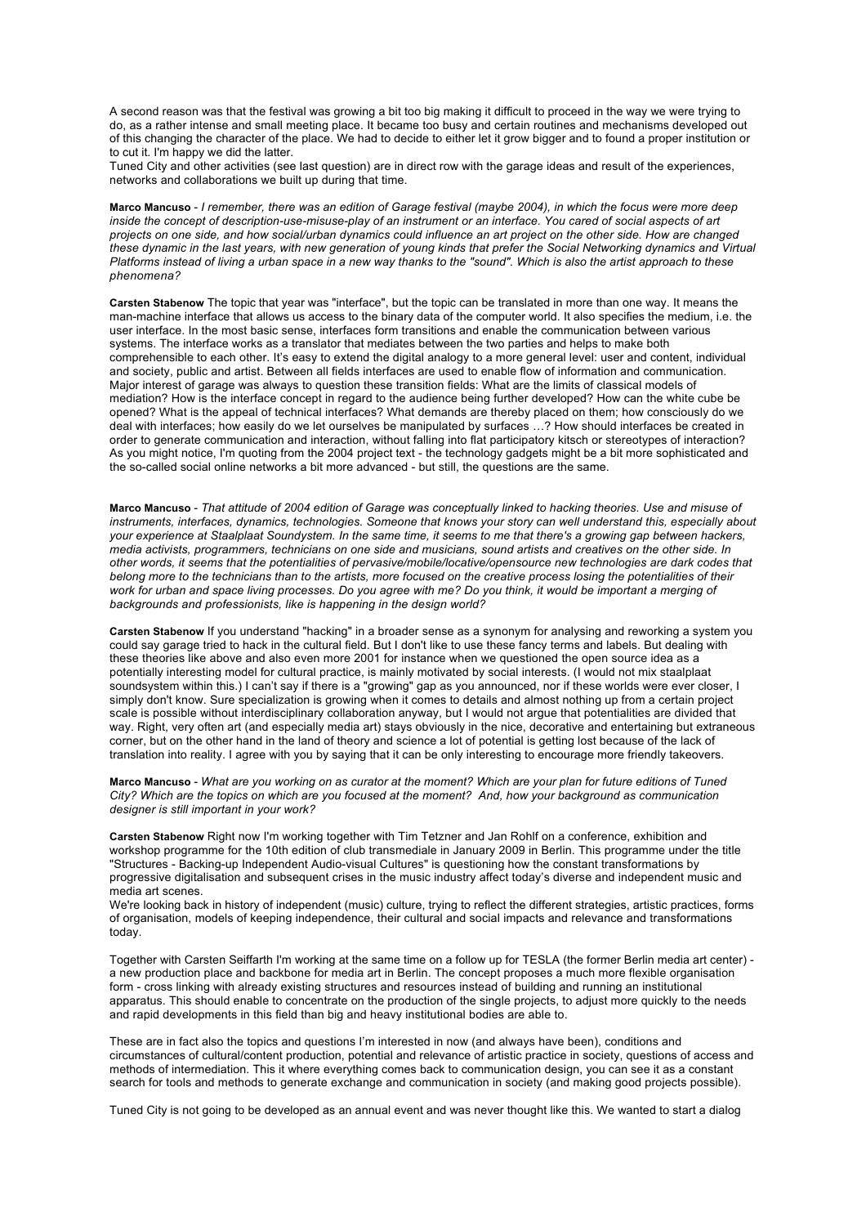A second reason was that the festival was growing a bit too big making it difficult to proceed in the way we were trying to do, as a rather intense and small meeting place. It became too busy and certain routines and mechanisms developed out of this changing the character of the place. We had to decide to either let it grow bigger and to found a proper institution or to cut it. I'm happy we did the latter.

Tuned City and other activities (see last question) are in direct row with the garage ideas and result of the experiences, networks and collaborations we built up during that time.

**Marco Mancuso** *- I remember, there was an edition of Garage festival (maybe 2004), in which the focus were more deep inside the concept of description-use-misuse-play of an instrument or an interface. You cared of social aspects of art projects on one side, and how social/urban dynamics could influence an art project on the other side. How are changed these dynamic in the last years, with new generation of young kinds that prefer the Social Networking dynamics and Virtual Platforms instead of living a urban space in a new way thanks to the "sound". Which is also the artist approach to these phenomena?*

**Carsten Stabenow** The topic that year was "interface", but the topic can be translated in more than one way. It means the man-machine interface that allows us access to the binary data of the computer world. It also specifies the medium, i.e. the user interface. In the most basic sense, interfaces form transitions and enable the communication between various systems. The interface works as a translator that mediates between the two parties and helps to make both comprehensible to each other. It's easy to extend the digital analogy to a more general level: user and content, individual and society, public and artist. Between all fields interfaces are used to enable flow of information and communication. Major interest of garage was always to question these transition fields: What are the limits of classical models of mediation? How is the interface concept in regard to the audience being further developed? How can the white cube be opened? What is the appeal of technical interfaces? What demands are thereby placed on them; how consciously do we deal with interfaces; how easily do we let ourselves be manipulated by surfaces …? How should interfaces be created in order to generate communication and interaction, without falling into flat participatory kitsch or stereotypes of interaction? As you might notice, I'm quoting from the 2004 project text - the technology gadgets might be a bit more sophisticated and the so-called social online networks a bit more advanced - but still, the questions are the same.

**Marco Mancuso** *- That attitude of 2004 edition of Garage was conceptually linked to hacking theories. Use and misuse of instruments, interfaces, dynamics, technologies. Someone that knows your story can well understand this, especially about your experience at Staalplaat Soundystem. In the same time, it seems to me that there's a growing gap between hackers, media activists, programmers, technicians on one side and musicians, sound artists and creatives on the other side. In other words, it seems that the potentialities of pervasive/mobile/locative/opensource new technologies are dark codes that*  belong more to the technicians than to the artists, more focused on the creative process losing the potentialities of their work for urban and space living processes. Do you agree with me? Do you think, it would be important a merging of *backgrounds and professionists, like is happening in the design world?*

**Carsten Stabenow** If you understand "hacking" in a broader sense as a synonym for analysing and reworking a system you could say garage tried to hack in the cultural field. But I don't like to use these fancy terms and labels. But dealing with these theories like above and also even more 2001 for instance when we questioned the open source idea as a potentially interesting model for cultural practice, is mainly motivated by social interests. (I would not mix staalplaat soundsystem within this.) I can't say if there is a "growing" gap as you announced, nor if these worlds were ever closer, I simply don't know. Sure specialization is growing when it comes to details and almost nothing up from a certain project scale is possible without interdisciplinary collaboration anyway, but I would not argue that potentialities are divided that way. Right, very often art (and especially media art) stays obviously in the nice, decorative and entertaining but extraneous corner, but on the other hand in the land of theory and science a lot of potential is getting lost because of the lack of translation into reality. I agree with you by saying that it can be only interesting to encourage more friendly takeovers.

**Marco Mancuso** *- What are you working on as curator at the moment? Which are your plan for future editions of Tuned City? Which are the topics on which are you focused at the moment? And, how your background as communication designer is still important in your work?* 

**Carsten Stabenow** Right now I'm working together with Tim Tetzner and Jan Rohlf on a conference, exhibition and workshop programme for the 10th edition of club transmediale in January 2009 in Berlin. This programme under the title "Structures - Backing-up Independent Audio-visual Cultures" is questioning how the constant transformations by progressive digitalisation and subsequent crises in the music industry affect today's diverse and independent music and media art scenes.

We're looking back in history of independent (music) culture, trying to reflect the different strategies, artistic practices, forms of organisation, models of keeping independence, their cultural and social impacts and relevance and transformations today.

Together with Carsten Seiffarth I'm working at the same time on a follow up for TESLA (the former Berlin media art center) a new production place and backbone for media art in Berlin. The concept proposes a much more flexible organisation form - cross linking with already existing structures and resources instead of building and running an institutional apparatus. This should enable to concentrate on the production of the single projects, to adjust more quickly to the needs and rapid developments in this field than big and heavy institutional bodies are able to.

These are in fact also the topics and questions I'm interested in now (and always have been), conditions and circumstances of cultural/content production, potential and relevance of artistic practice in society, questions of access and methods of intermediation. This it where everything comes back to communication design, you can see it as a constant search for tools and methods to generate exchange and communication in society (and making good projects possible).

Tuned City is not going to be developed as an annual event and was never thought like this. We wanted to start a dialog